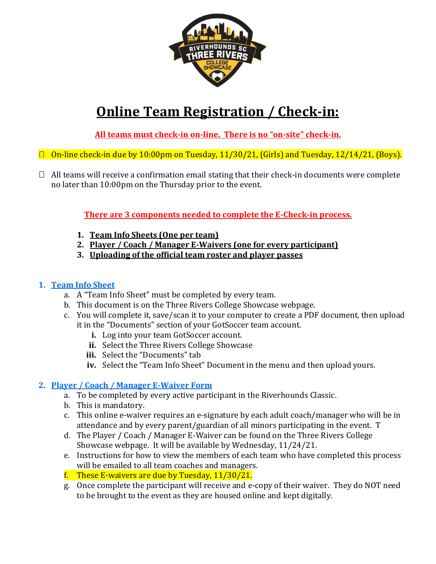

# **Online Team Registration / Check-in:**

**All teams must check-in on-line. There is no "on-site" check-in.**

- $\Box$  On-line check-in due by 10:00pm on Tuesday, 11/30/21, (Girls) and Tuesday, 12/14/21, (Boys).
- $\Box$  All teams will receive a confirmation email stating that their check-in documents were complete no later than 10:00pm on the Thursday prior to the event.

**There are 3 components needed to complete the E-Check-in process.**

- **1. Team Info Sheets (One per team)**
- **2. Player / Coach / Manager E-Waivers (one for every participant)**
- **3. Uploading of the official team roster and player passes**

#### **1. Team Info Sheet**

- a. A "Team Info Sheet" must be completed by every team.
- b. This document is on the Three Rivers College Showcase webpage.
- c. You will complete it, save/scan it to your computer to create a PDF document, then upload it in the "Documents" section of your GotSoccer team account.
	- **i.** Log into your team GotSoccer account.
	- **ii.** Select the Three Rivers College Showcase
	- **iii.** Select the "Documents" tab
	- **iv.** Select the "Team Info Sheet" Document in the menu and then upload yours.

# **2. Player / Coach / Manager E-Waiver Form**

- a. To be completed by every active participant in the Riverhounds Classic.
- b. This is mandatory.
- c. This online e-waiver requires an e-signature by each adult coach/manager who will be in attendance and by every parent/guardian of all minors participating in the event. T
- d. The Player / Coach / Manager E-Waiver can be found on the Three Rivers College Showcase webpage. It will be available by Wednesday, 11/24/21.
- e. Instructions for how to view the members of each team who have completed this process will be emailed to all team coaches and managers.
- f. These E-waivers are due by Tuesday, 11/30/21.
- g. Once complete the participant will receive and e-copy of their waiver. They do NOT need to be brought to the event as they are housed online and kept digitally.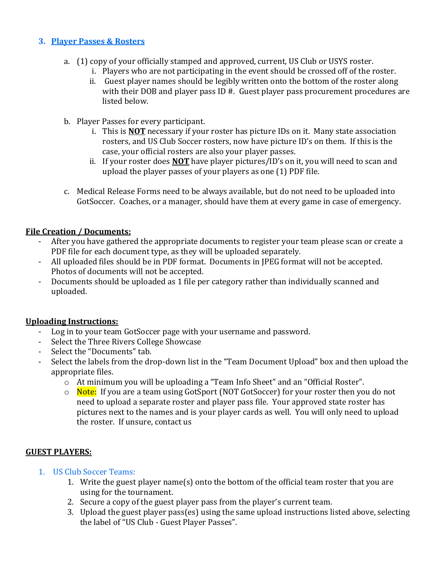### **3. Player Passes & Rosters**

- a. (1) copy of your officially stamped and approved, current, US Club or USYS roster.
	- i. Players who are not participating in the event should be crossed off of the roster.
	- ii. Guest player names should be legibly written onto the bottom of the roster along with their DOB and player pass ID #. Guest player pass procurement procedures are listed below.
- b. Player Passes for every participant.
	- i. This is **NOT** necessary if your roster has picture IDs on it. Many state association rosters, and US Club Soccer rosters, now have picture ID's on them. If this is the case, your official rosters are also your player passes.
	- ii. If your roster does **NOT** have player pictures/ID's on it, you will need to scan and upload the player passes of your players as one (1) PDF file.
- c. Medical Release Forms need to be always available, but do not need to be uploaded into GotSoccer. Coaches, or a manager, should have them at every game in case of emergency.

#### **File Creation / Documents:**

- After you have gathered the appropriate documents to register your team please scan or create a PDF file for each document type, as they will be uploaded separately.
- All uploaded files should be in PDF format. Documents in JPEG format will not be accepted. Photos of documents will not be accepted.
- Documents should be uploaded as 1 file per category rather than individually scanned and uploaded.

### **Uploading Instructions:**

- Log in to your team GotSoccer page with your username and password.
- Select the Three Rivers College Showcase
- Select the "Documents" tab.
- Select the labels from the drop-down list in the "Team Document Upload" box and then upload the appropriate files.
	- o At minimum you will be uploading a "Team Info Sheet" and an "Official Roster".
	- o Note: If you are a team using GotSport (NOT GotSoccer) for your roster then you do not need to upload a separate roster and player pass file. Your approved state roster has pictures next to the names and is your player cards as well. You will only need to upload the roster. If unsure, contact us

### **GUEST PLAYERS:**

#### 1. US Club Soccer Teams:

- 1. Write the guest player name(s) onto the bottom of the official team roster that you are using for the tournament.
- 2. Secure a copy of the guest player pass from the player's current team.
- 3. Upload the guest player pass(es) using the same upload instructions listed above, selecting the label of "US Club - Guest Player Passes".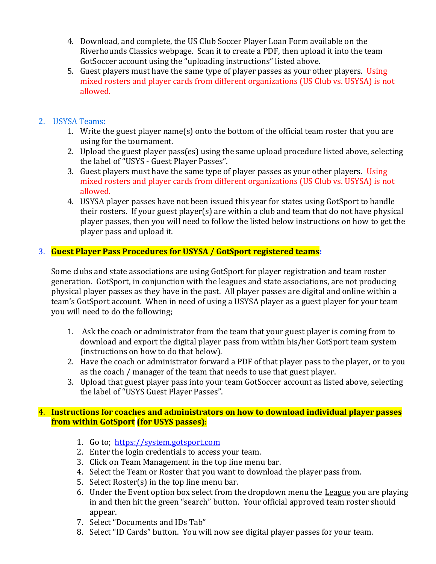- 4. Download, and complete, the US Club Soccer Player Loan Form available on the Riverhounds Classics webpage. Scan it to create a PDF, then upload it into the team GotSoccer account using the "uploading instructions" listed above.
- 5. Guest players must have the same type of player passes as your other players. Using mixed rosters and player cards from different organizations (US Club vs. USYSA) is not allowed.

### 2. USYSA Teams:

- 1. Write the guest player name(s) onto the bottom of the official team roster that you are using for the tournament.
- 2. Upload the guest player pass(es) using the same upload procedure listed above, selecting the label of "USYS - Guest Player Passes".
- 3. Guest players must have the same type of player passes as your other players. Using mixed rosters and player cards from different organizations (US Club vs. USYSA) is not allowed.
- 4. USYSA player passes have not been issued this year for states using GotSport to handle their rosters. If your guest player(s) are within a club and team that do not have physical player passes, then you will need to follow the listed below instructions on how to get the player pass and upload it.

## 3. **Guest Player Pass Procedures for USYSA / GotSport registered teams:**

Some clubs and state associations are using GotSport for player registration and team roster generation. GotSport, in conjunction with the leagues and state associations, are not producing physical player passes as they have in the past. All player passes are digital and online within a team's GotSport account. When in need of using a USYSA player as a guest player for your team you will need to do the following;

- 1. Ask the coach or administrator from the team that your guest player is coming from to download and export the digital player pass from within his/her GotSport team system (instructions on how to do that below).
- 2. Have the coach or administrator forward a PDF of that player pass to the player, or to you as the coach / manager of the team that needs to use that guest player.
- 3. Upload that guest player pass into your team GotSoccer account as listed above, selecting the label of "USYS Guest Player Passes".

#### 4. **Instructions for coaches and administrators on how to download individual player passes from within GotSport (for USYS passes)**:

- 1. Go to; [https://system.gotsport.com](https://system.gotsport.com/)
- 2. Enter the login credentials to access your team.
- 3. Click on Team Management in the top line menu bar.
- 4. Select the Team or Roster that you want to download the player pass from.
- 5. Select Roster(s) in the top line menu bar.
- 6. Under the Event option box select from the dropdown menu the League you are playing in and then hit the green "search" button. Your official approved team roster should appear.
- 7. Select "Documents and IDs Tab"
- 8. Select "ID Cards" button. You will now see digital player passes for your team.